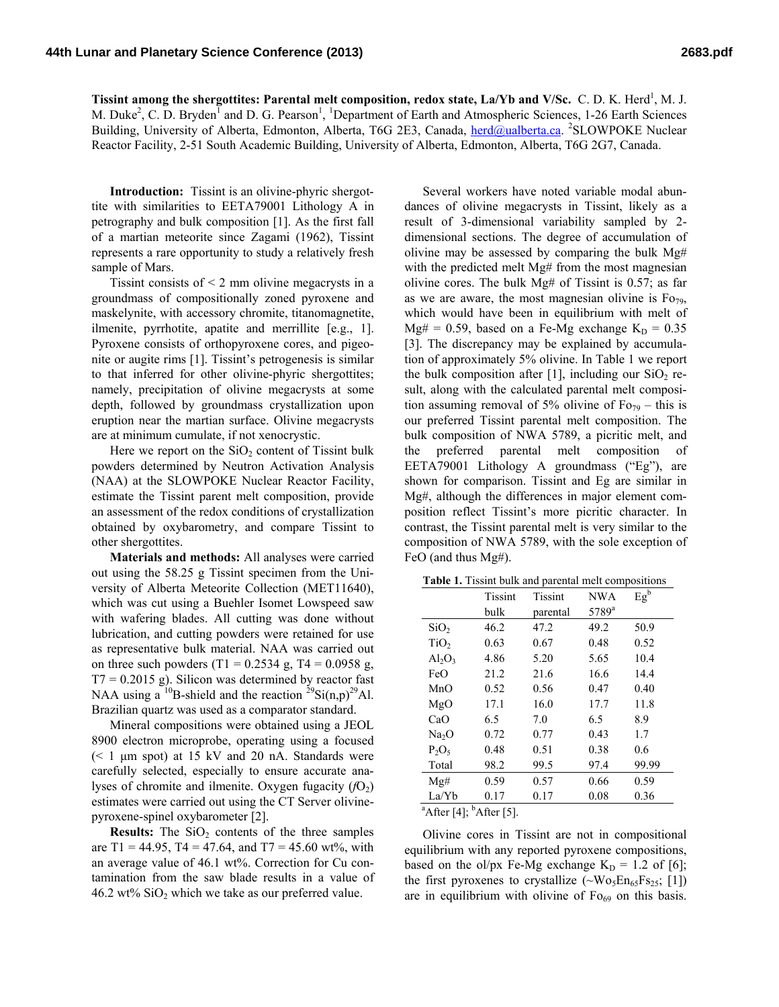Tissint among the shergottites: Parental melt composition, redox state, La/Yb and V/Sc. C.D. K. Herd<sup>1</sup>, M. J. M. Duke<sup>2</sup>, C. D. Bryden<sup>1</sup> and D. G. Pearson<sup>1</sup>, <sup>1</sup>Department of Earth and Atmospheric Sciences, 1-26 Earth Sciences Building, University of Alberta, Edmonton, Alberta, T6G 2E3, Canada, herd@ualberta.ca. <sup>2</sup>SLOWPOKE Nuclear Reactor Facility, 2-51 South Academic Building, University of Alberta, Edmonton, Alberta, T6G 2G7, Canada.

**Introduction:** Tissint is an olivine-phyric shergottite with similarities to EETA79001 Lithology A in petrography and bulk composition [1]. As the first fall of a martian meteorite since Zagami (1962), Tissint represents a rare opportunity to study a relatively fresh sample of Mars.

Tissint consists of  $\leq$  2 mm olivine megacrysts in a groundmass of compositionally zoned pyroxene and maskelynite, with accessory chromite, titanomagnetite, ilmenite, pyrrhotite, apatite and merrillite [e.g., 1]. Pyroxene consists of orthopyroxene cores, and pigeonite or augite rims [1]. Tissint's petrogenesis is similar to that inferred for other olivine-phyric shergottites; namely, precipitation of olivine megacrysts at some depth, followed by groundmass crystallization upon eruption near the martian surface. Olivine megacrysts are at minimum cumulate, if not xenocrystic.

Here we report on the  $SiO<sub>2</sub>$  content of Tissint bulk powders determined by Neutron Activation Analysis (NAA) at the SLOWPOKE Nuclear Reactor Facility, estimate the Tissint parent melt composition, provide an assessment of the redox conditions of crystallization obtained by oxybarometry, and compare Tissint to other shergottites.

**Materials and methods:** All analyses were carried out using the 58.25 g Tissint specimen from the University of Alberta Meteorite Collection (MET11640), which was cut using a Buehler Isomet Lowspeed saw with wafering blades. All cutting was done without lubrication, and cutting powders were retained for use as representative bulk material. NAA was carried out on three such powders (T1 =  $0.2534$  g, T4 =  $0.0958$  g,  $T7 = 0.2015$  g). Silicon was determined by reactor fast NAA using a <sup>10</sup>B-shield and the reaction <sup>29</sup>Si(n,p)<sup>29</sup>Al. Brazilian quartz was used as a comparator standard.

Mineral compositions were obtained using a JEOL 8900 electron microprobe, operating using a focused  $(< 1 \mu m$  spot) at 15 kV and 20 nA. Standards were carefully selected, especially to ensure accurate analyses of chromite and ilmenite. Oxygen fugacity  $(fO_2)$ estimates were carried out using the CT Server olivinepyroxene-spinel oxybarometer [2].

**Results:** The  $SiO<sub>2</sub>$  contents of the three samples are  $T1 = 44.95$ ,  $T4 = 47.64$ , and  $T7 = 45.60$  wt%, with an average value of 46.1 wt%. Correction for Cu contamination from the saw blade results in a value of 46.2 wt%  $SiO<sub>2</sub>$  which we take as our preferred value.

Several workers have noted variable modal abundances of olivine megacrysts in Tissint, likely as a result of 3-dimensional variability sampled by 2 dimensional sections. The degree of accumulation of olivine may be assessed by comparing the bulk Mg# with the predicted melt Mg# from the most magnesian olivine cores. The bulk Mg# of Tissint is 0.57; as far as we are aware, the most magnesian olivine is  $F_{0,79}$ , which would have been in equilibrium with melt of Mg# = 0.59, based on a Fe-Mg exchange  $K_D = 0.35$ [3]. The discrepancy may be explained by accumulation of approximately 5% olivine. In Table 1 we report the bulk composition after [1], including our  $SiO<sub>2</sub>$  result, along with the calculated parental melt composition assuming removal of 5% olivine of  $F_{079}$  – this is our preferred Tissint parental melt composition. The bulk composition of NWA 5789, a picritic melt, and the preferred parental melt composition of EETA79001 Lithology A groundmass ("Eg"), are shown for comparison. Tissint and Eg are similar in Mg#, although the differences in major element composition reflect Tissint's more picritic character. In contrast, the Tissint parental melt is very similar to the composition of NWA 5789, with the sole exception of FeO (and thus Mg#).

| <b>Table 1.</b> Tissint bulk and parental melt compositions |  |  |
|-------------------------------------------------------------|--|--|
|-------------------------------------------------------------|--|--|

|                   | <b>Tissint</b>                              | Tissint  | <b>NWA</b>        | $Eg^b$ |  |  |
|-------------------|---------------------------------------------|----------|-------------------|--------|--|--|
|                   | bulk                                        | parental | 5789 <sup>a</sup> |        |  |  |
| SiO <sub>2</sub>  | 46.2                                        | 47.2     | 49.2              | 50.9   |  |  |
| TiO <sub>2</sub>  | 0.63                                        | 0.67     | 0.48              | 0.52   |  |  |
| $Al_2O_3$         | 4.86                                        | 5.20     | 5.65              | 10.4   |  |  |
| FeO               | 21.2                                        | 21.6     | 16.6              | 14.4   |  |  |
| MnO               | 0.52                                        | 0.56     | 0.47              | 0.40   |  |  |
| MgO               | 17.1                                        | 16.0     | 17.7              | 11.8   |  |  |
| CaO               | 6.5                                         | 7.0      | 6.5               | 8.9    |  |  |
| Na <sub>2</sub> O | 0.72                                        | 0.77     | 0.43              | 1.7    |  |  |
| $P_2O_5$          | 0.48                                        | 0.51     | 0.38              | 0.6    |  |  |
| Total             | 98.2                                        | 99.5     | 97.4              | 99.99  |  |  |
| Mg#               | 0.59                                        | 0.57     | 0.66              | 0.59   |  |  |
| La/Yb             | 0.17                                        | 0.17     | 0.08              | 0.36   |  |  |
|                   | $^{\circ}$ After [4]; $^{\circ}$ After [5]. |          |                   |        |  |  |

After  $[4]$ ; <sup>b</sup>After  $[5]$ .

Olivine cores in Tissint are not in compositional equilibrium with any reported pyroxene compositions, based on the ol/px Fe-Mg exchange  $K_D = 1.2$  of [6]; the first pyroxenes to crystallize  $(\sim W_{0.5}En_{65}Fs_{25}; [1])$ are in equilibrium with olivine of  $F_{069}$  on this basis.